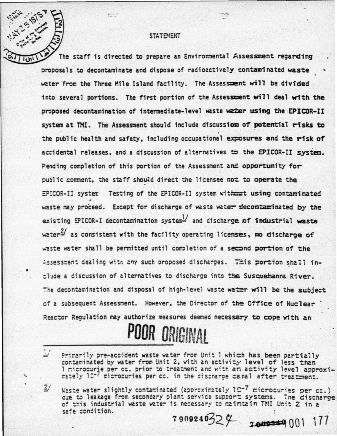## **STATEMENT**

e.

The staff is directed to prepare an Environmental Assessment recarding proposals to decontaminate and dispose of radioactively contaminated waste water from the Three Mile Island facility. The Assessment will be divided into several portions. The first portion of the Assessment will deal with the proposed decontamination of intermediate-level waste water using the EPICOR-II system at TMI. The Assessment should include discussion of potential risks to the public health and safety, including occupational exposures and the risk of accidental releases, and a discussion of alternatives to the EPICOR-II system. Pending completion of this portion of the Assessment and opportunity for public comment, the staff should direct the licensee not to operate the EPICOR-II system Testing of the EPICOR-II system without using contaminated waste may proceed. Except for discharge of waste water decontaminated by the existing EPICOR-I decontamination system  $\frac{1}{2}$  and discharge of industrial waste  $\text{water}^2$  as consistent with the facility operating licenses, no discharge of waste water shall be permitted until completion of a second portion of the Assessment dealing with any such proposed discharges. This portion shall include a discussion of alternatives to discharge into the Susquehanna River. The decontamination and disposal of high-level waste water will be the subject of a subsequent Assessment. However, the Director of the Office of Nuclear Reactor Requlation may authorize measures deemed necessary to cope with an

## POOR ORIGINAL

- Primarily pre-accident waste water from Unit I which has been partially contaminated by water from Unit 2, with an activity level of less than I microcurie per cc. prior to treatment and with an activity level approximately 10<sup>-7</sup> microcuries per cc. in the discharge canal after treatment.
- $2/$ Waste water slightly contaminated (approximately IC-7 microcuries per co.) cue to leakage from secondary plant service support systems. The discharge of this industrial waste water is necessary to maintain TMI Unit 2 in a safe condition.

7909240324 7809249001